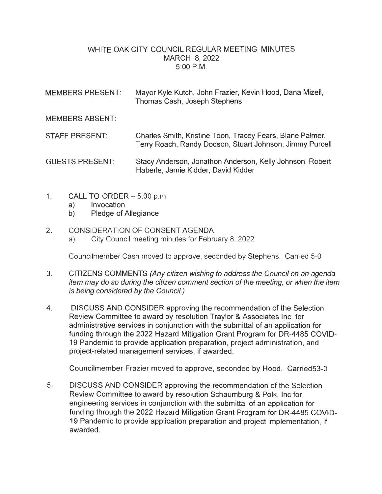## WHITE OAK CITY COUNCIL REGULAR MEETING MINUTES MARCH 8, 2022 5:00 P.M.

| <b>MEMBERS PRESENT:</b> | Mayor Kyle Kutch, John Frazier, Kevin Hood, Dana Mizell,<br>Thomas Cash, Joseph Stephens                              |
|-------------------------|-----------------------------------------------------------------------------------------------------------------------|
| <b>MEMBERS ABSENT:</b>  |                                                                                                                       |
| <b>STAFF PRESENT:</b>   | Charles Smith, Kristine Toon, Tracey Fears, Blane Palmer,<br>Terry Roach, Randy Dodson, Stuart Johnson, Jimmy Purcell |
| <b>GUESTS PRESENT:</b>  | Stacy Anderson, Jonathon Anderson, Kelly Johnson, Robert<br>Haberle, Jamie Kidder, David Kidder                       |

- 1. CALL TO ORDER  $-5:00$  p.m.
	- a) Invocation
	- b) Pledge of Allegiance

## 2. CONSIDERATION OF CONSENT AGENDA

a) City Council meeting minutes for February 8, 2022

Councilmember Cash moved to approve, seconded by Stephens. Carried 5-0

- 3. CITIZENS COMMENTS (Any citizen wishing to address the Council on an agenda item may do so during the citizen comment section of the meeting, or when the item is being considered by the Council.)
- 4. DISCUSS AND CONSIDER approving the recommendation of the Selection Review Committee to award by resolution Traylor & Associates Inc. for administrative services in conjunction with the submittal of an application for funding through the 2022 Hazard Mitigation Grant Program for DR-4485 COVID-19 Pandemic to provide application preparation, project administration, and project-related management services, if awarded.

Councilmember Frazier moved to approve, seconded by Hood. Carried53-0

5. DISCUSS AND CONSIDER approving the recommendation of the Selection Review Committee to award by resolution Schaumburg & Polk, Inc for engineering services in conjunction with the submittal of an application for funding through the 2022 Hazard Mitigation Grant Program for DR-4485 COVID-19 Pandemic to provide application preparation and project implementation, if awarded.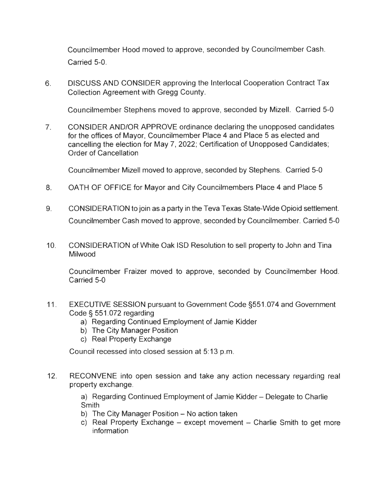Councilmember Hood moved to approve, seconded by Councilmember Cash. Carried 5-0.

6. DISCUSS AND CONSIDER approving the lnterlocal Cooperation Contract Tax Collection Agreement with Gregg County.

Councilmember Stephens moved to approve, seconded by Mizell. Carried 5-0

7. CONSIDER AND/OR APPROVE ordinance declaring the unopposed candidates for the offices of Mayor, Councilmember Place 4 and Place 5 as elected and cancelling the election for May 7, 2022; Certification of Unopposed Candidates; Order of Cancellation

Councilmember Mizell moved to approve, seconded by Stephens. Carried 5-0

- 8. OATH OF OFFICE for Mayor and City Councilmembers Place 4 and Place 5
- 9. CONSIDERATION to join as a party in the Teva Texas State-Wide Opioid settlement. Councilmember Cash moved to approve, seconded by Councilmember. Carried 5-0
- 10. CONSIDERATION of White Oak ISO Resolution to sell property to John and Tina Milwood

Councilmember Fraizer moved to approve, seconded by Councilmember Hood. Carried 5-0

- 11 . EXECUTIVE SESSION pursuant to Government Code §551.074 and Government Code§ 551.072 regarding
	- a) Regarding Continued Employment of Jamie Kidder
	- b) The City Manager Position
	- c) Real Property Exchange

Council recessed into closed session at 5: 13 p.m.

12. RECONVENE into open session and take any action necessary regarding real property exchange.

> a) Regarding Continued Employment of Jamie Kidder – Delegate to Charlie **Smith**

- b) The City Manager Position No action taken
- c) Real Property Exchange except movement Charlie Smith to get more information